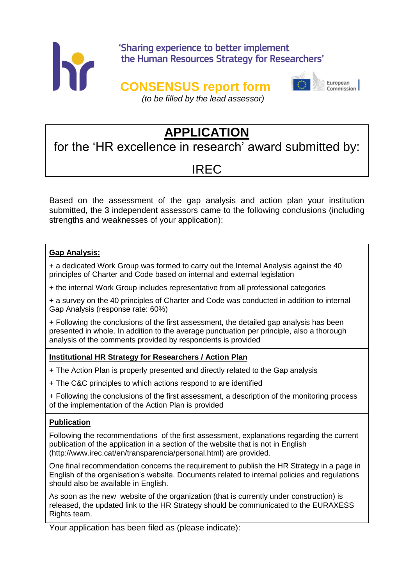

# 'Sharing experience to better implement the Human Resources Strategy for Researchers'

# **CONSENSUS report form**



European Commission

*(to be filled by the lead assessor)*

# **APPLICATION**

for the 'HR excellence in research' award submitted by:

# IREC

Based on the assessment of the gap analysis and action plan your institution submitted, the 3 independent assessors came to the following conclusions (including strengths and weaknesses of your application):

## **Gap Analysis:**

+ a dedicated Work Group was formed to carry out the Internal Analysis against the 40 principles of Charter and Code based on internal and external legislation

+ the internal Work Group includes representative from all professional categories

+ a survey on the 40 principles of Charter and Code was conducted in addition to internal Gap Analysis (response rate: 60%)

+ Following the conclusions of the first assessment, the detailed gap analysis has been presented in whole. In addition to the average punctuation per principle, also a thorough analysis of the comments provided by respondents is provided

## **Institutional HR Strategy for Researchers / Action Plan**

+ The Action Plan is properly presented and directly related to the Gap analysis

+ The C&C principles to which actions respond to are identified

+ Following the conclusions of the first assessment, a description of the monitoring process of the implementation of the Action Plan is provided

### **Publication**

Following the recommendations of the first assessment, explanations regarding the current publication of the application in a section of the website that is not in English (http://www.irec.cat/en/transparencia/personal.html) are provided.

One final recommendation concerns the requirement to publish the HR Strategy in a page in English of the organisation's website. Documents related to internal policies and regulations should also be available in English.

As soon as the new website of the organization (that is currently under construction) is released, the updated link to the HR Strategy should be communicated to the EURAXESS Rights team.

Your application has been filed as (please indicate):